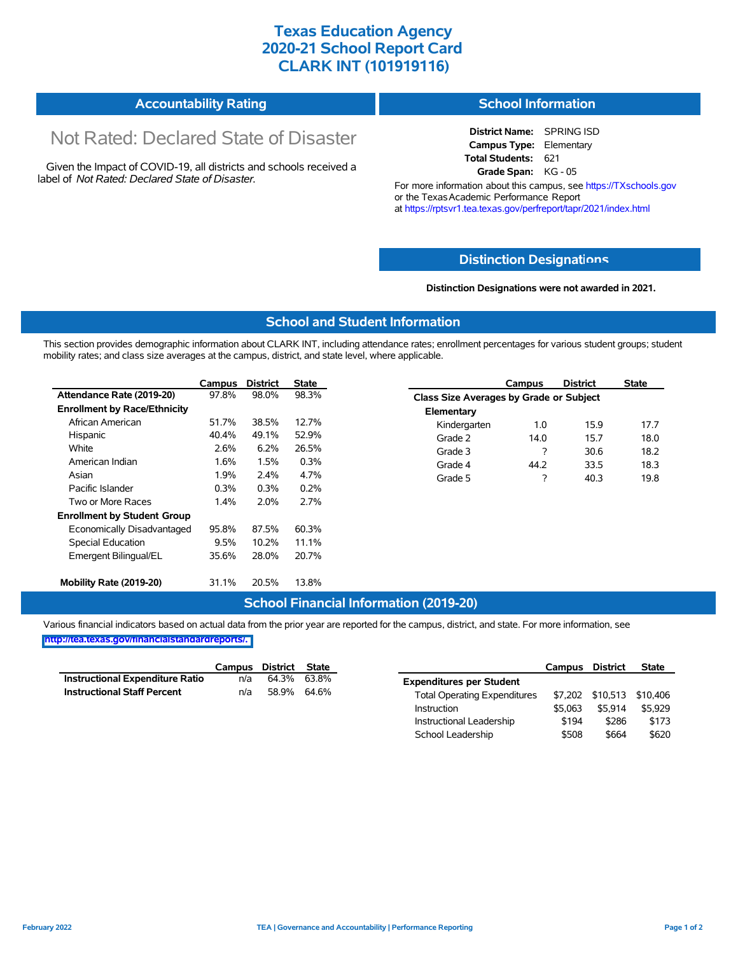## **Texas Education Agency 2020-21 School Report Card CLARK INT (101919116)**

| <b>Accountability Rating</b> | <b>School Information</b> |
|------------------------------|---------------------------|
|------------------------------|---------------------------|

# Not Rated: Declared State of Disaster

Given the Impact of COVID-19, all districts and schools received a label of *Not Rated: Declared State of Disaster.*

**District Name:** SPRING ISD **Campus Type:** Elementary **Total Students:** 621 **Grade Span:** KG - 05

For more information about this campus, see https://TXschools.gov or the Texas Academic Performance Report at https://rptsvr1.tea.texas.gov/perfreport/tapr/2021/index.html

#### **Distinction Designat[ions](https://TXschools.gov)**

**Distinction Designations were not awarded in 2021.**

School Leadership  $$508$  \$664 \$620

#### **School and Student Information**

This section provides demographic information about CLARK INT, including attendance rates; enrollment percentages for various student groups; student mobility rates; and class size averages at the campus, district, and state level, where applicable.

|                                     | Campus | <b>District</b> | <b>State</b> |              | Campus                                  | <b>District</b> | <b>State</b> |  |
|-------------------------------------|--------|-----------------|--------------|--------------|-----------------------------------------|-----------------|--------------|--|
| Attendance Rate (2019-20)           | 97.8%  | 98.0%           | 98.3%        |              | Class Size Averages by Grade or Subject |                 |              |  |
| <b>Enrollment by Race/Ethnicity</b> |        |                 |              | Elementary   |                                         |                 |              |  |
| African American                    | 51.7%  | 38.5%           | 12.7%        | Kindergarten | 1.0                                     | 15.9            | 17.7         |  |
| Hispanic                            | 40.4%  | 49.1%           | 52.9%        | Grade 2      | 14.0                                    | 15.7            | 18.0         |  |
| White                               | 2.6%   | 6.2%            | 26.5%        | Grade 3      | 7                                       | 30.6            | 18.2         |  |
| American Indian                     | 1.6%   | 1.5%            | 0.3%         | Grade 4      | 44.2                                    | 33.5            | 18.3         |  |
| Asian                               | 1.9%   | 2.4%            | 4.7%         | Grade 5      | ?                                       | 40.3            | 19.8         |  |
| Pacific Islander                    | 0.3%   | 0.3%            | 0.2%         |              |                                         |                 |              |  |
| Two or More Races                   | 1.4%   | 2.0%            | 2.7%         |              |                                         |                 |              |  |
| <b>Enrollment by Student Group</b>  |        |                 |              |              |                                         |                 |              |  |
| Economically Disadvantaged          | 95.8%  | 87.5%           | 60.3%        |              |                                         |                 |              |  |
| Special Education                   | 9.5%   | 10.2%           | 11.1%        |              |                                         |                 |              |  |
| Emergent Bilingual/EL               | 35.6%  | 28.0%           | 20.7%        |              |                                         |                 |              |  |
|                                     |        |                 |              |              |                                         |                 |              |  |
| Mobility Rate (2019-20)             | 31.1%  | 20.5%           | 13.8%        |              |                                         |                 |              |  |

#### **School Financial Information (2019-20)**

Various financial indicators based on actual data from the prior year are reported for the campus, district, and state. For more information, see

**[http://tea.texas.gov/financialstandardreports/.](http://tea.texas.gov/financialstandardreports/)**

|                                    | Campus | District State |             |                                     | Campus  | <b>District</b> | <b>State</b>              |
|------------------------------------|--------|----------------|-------------|-------------------------------------|---------|-----------------|---------------------------|
| Instructional Expenditure Ratio    | n/a    | 64.3% 63.8%    |             | <b>Expenditures per Student</b>     |         |                 |                           |
| <b>Instructional Staff Percent</b> | n/a    |                | 58.9% 64.6% | <b>Total Operating Expenditures</b> |         |                 | \$7,202 \$10,513 \$10,406 |
|                                    |        |                |             | Instruction                         | \$5.063 | \$5.914         | \$5.929                   |
|                                    |        |                |             | Instructional Leadership            | \$194   | \$286           | \$173                     |